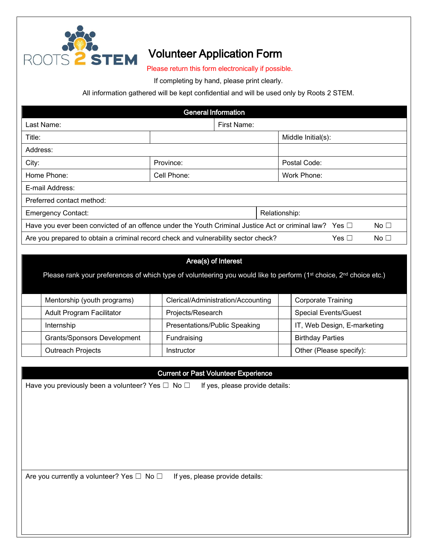

## Volunteer Application Form

Please return this form electronically if possible.

If completing by hand, please print clearly.

All information gathered will be kept confidential and will be used only by Roots 2 STEM.

| <b>General Information</b>                                                                                                     |               |                    |  |  |  |  |  |  |
|--------------------------------------------------------------------------------------------------------------------------------|---------------|--------------------|--|--|--|--|--|--|
| Last Name:                                                                                                                     | First Name:   |                    |  |  |  |  |  |  |
| Title:                                                                                                                         |               | Middle Initial(s): |  |  |  |  |  |  |
| Address:                                                                                                                       |               |                    |  |  |  |  |  |  |
| City:                                                                                                                          | Province:     | Postal Code:       |  |  |  |  |  |  |
| Home Phone:                                                                                                                    | Cell Phone:   | Work Phone:        |  |  |  |  |  |  |
| E-mail Address:                                                                                                                |               |                    |  |  |  |  |  |  |
| Preferred contact method:                                                                                                      |               |                    |  |  |  |  |  |  |
| <b>Emergency Contact:</b>                                                                                                      | Relationship: |                    |  |  |  |  |  |  |
| No <sub>1</sub><br>Have you ever been convicted of an offence under the Youth Criminal Justice Act or criminal law? Yes $\Box$ |               |                    |  |  |  |  |  |  |
| Are you prepared to obtain a criminal record check and vulnerability sector check?<br>Yes $\Box$<br>No <sub>1</sub>            |               |                    |  |  |  |  |  |  |

## Area(s) of Interest

Please rank your preferences of which type of volunteering you would like to perform (1st choice, 2<sup>nd</sup> choice etc.)

| Mentorship (youth programs)        |  | Clerical/Administration/Accounting |  | <b>Corporate Training</b>   |  |
|------------------------------------|--|------------------------------------|--|-----------------------------|--|
| <b>Adult Program Facilitator</b>   |  | Projects/Research                  |  | <b>Special Events/Guest</b> |  |
| Internship                         |  | Presentations/Public Speaking      |  | IT, Web Design, E-marketing |  |
| <b>Grants/Sponsors Development</b> |  | Fundraising                        |  | <b>Birthday Parties</b>     |  |
| <b>Outreach Projects</b>           |  | Instructor                         |  | Other (Please specify):     |  |

## Current or Past Volunteer Experience

Have you previously been a volunteer? Yes  $\Box$  No  $\Box$  If yes, please provide details:

Are you currently a volunteer? Yes  $\Box$  No  $\Box$  If yes, please provide details: